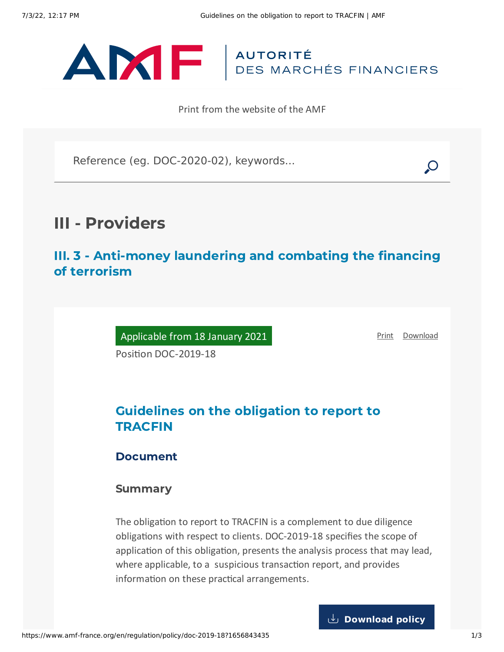

Print from the website of the AMF

Reference (eg. DOC-2020-02), keywords...

# III - Providers

III. 3 - Anti-money laundering and combating the financing of terrorism

Applicable from 18 January 2021

[Print](javascript:window.print()) [Download](https://www.amf-france.org/sites/default/files/pdf/62786/en/Guidelines_on_the_obligation_to_report_to_TRACFIN.pdf?1656843437)

Position DOC-2019-18

# Guidelines on the obligation to report to TRACFIN

### Document

### Summary

The obligation to report to TRACFIN is a complement to due diligence obligations with respect to clients. DOC-2019-18 specifies the scope of application of this obligation, presents the analysis process that may lead, where applicable, to a suspicious transaction report, and provides information on these practical arrangements.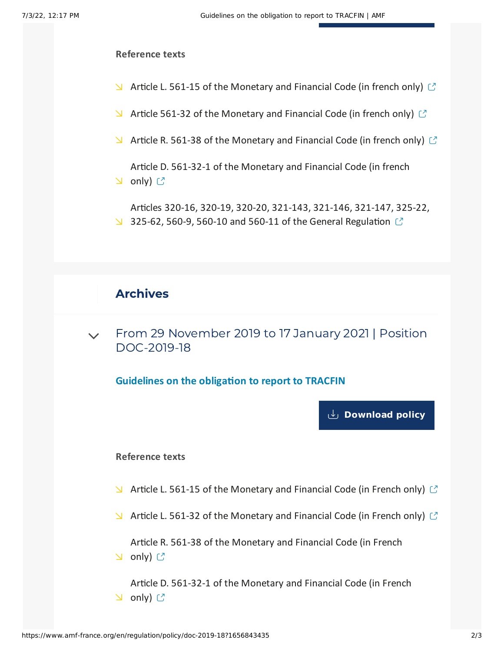#### **Reference texts**

- $\blacktriangleright$  Article L. 561-15 of the [Monetary](https://www.legifrance.gouv.fr/codes/id/LEGIARTI000033517847/2019-11-26/) and Financial Code (in french only)  $\heartsuit$
- $\blacktriangleright$  Article 561-32 of the [Monetary](https://www.legifrance.gouv.fr/codes/id/LEGIARTI000038613542/2019-11-26/) and Financial Code (in french only)  $\heartsuit$
- $\blacktriangleright$  Article R. 561-38 of the [Monetary](https://www.legifrance.gouv.fr/codes/id/LEGIARTI000036824843/2019-11-26/) and Financial Code (in french only)  $\mathbb{C}$
- Article D. 561-32-1 of the [Monetary](https://www.legifrance.gouv.fr/codes/id/LEGIARTI000021020716/2019-11-26/) and Financial Code (in french  $\cup$  only)  $\mathbb{C}$
- Articles 320-16, 320-19, 320-20, 321-143, 321-146, 321-147, 325-22, 325-62, 560-9, 560-10 and 560-11 of the General [Regulation](https://reglement-general.amf-france.org/reglement/en_US/RG-en-vigueur)  $\mathbb{C}$

## Archives

From 29 November 2019 to 17 January 2021 | Position [DOC-2019-18](#page-1-0)  $\vee$ 

<span id="page-1-0"></span>**Guidelines on the obligation to report to TRACFIN**

**[Download](https://www.amf-france.org/sites/default/files/doctrine/en/Position/DOC-2019-18/1.0/Guidelines%20on%20the%20obligation%20to%20report%20to%20TRACFIN.pdf) policy**

#### **Reference texts**

- $\blacktriangleright$  Article L. 561-15 of the [Monetary](https://www.legifrance.gouv.fr/affichCodeArticle.do?idArticle=LEGIARTI000033517847&cidTexte=LEGITEXT000006072026&dateTexte=20191126) and Financial Code (in French only)  $\heartsuit$
- $\blacktriangleright$  Article L. 561-32 of the [Monetary](https://www.legifrance.gouv.fr/affichCodeArticle.do?idArticle=LEGIARTI000038613542&cidTexte=LEGITEXT000006072026&dateTexte=20191126) and Financial Code (in French only)  $\heartsuit$

Article R. 561-38 of the [Monetary](https://www.legifrance.gouv.fr/affichCodeArticle.do?idArticle=LEGIARTI000036824843&cidTexte=LEGITEXT000006072026&dateTexte=20191126) and Financial Code (in French  $\cup$  only)  $\mathbb C$ 

Article D. 561-32-1 of the [Monetary](https://www.legifrance.gouv.fr/affichCodeArticle.do?idArticle=LEGIARTI000021020716&cidTexte=LEGITEXT000006072026&dateTexte=20191126) and Financial Code (in French **∆** only) ぴ